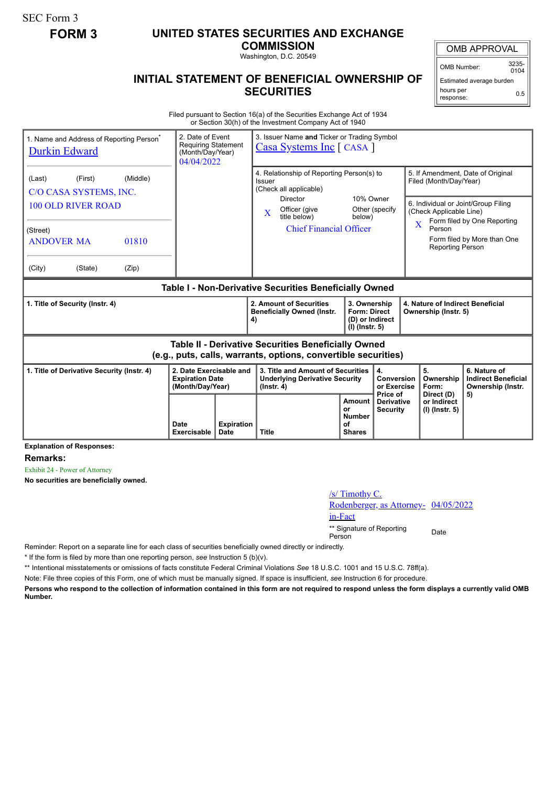SEC Form 3

## **FORM 3 UNITED STATES SECURITIES AND EXCHANGE**

**COMMISSION**

Washington, D.C. 20549

## **INITIAL STATEMENT OF BENEFICIAL OWNERSHIP OF SECURITIES**

OMB APPROVAL

OMB Number: 3235-  $0104$ 

Estimated average burden hours per response: 0.5

Filed pursuant to Section 16(a) of the Securities Exchange Act of 1934 or Section 30(h) of the Investment Company Act of 1940

| 1. Name and Address of Reporting Person <sup>®</sup><br><b>Durkin Edward</b>                                                                                 | 2. Date of Event<br><b>Requiring Statement</b><br>(Month/Day/Year)<br>04/04/2022 |                                  | 3. Issuer Name and Ticker or Trading Symbol<br><b>Casa Systems Inc</b> [ CASA ]                                                                                                                                   |                                                                            |                                             |                                                                                                                                                                                                                                                             |                                                                 |
|--------------------------------------------------------------------------------------------------------------------------------------------------------------|----------------------------------------------------------------------------------|----------------------------------|-------------------------------------------------------------------------------------------------------------------------------------------------------------------------------------------------------------------|----------------------------------------------------------------------------|---------------------------------------------|-------------------------------------------------------------------------------------------------------------------------------------------------------------------------------------------------------------------------------------------------------------|-----------------------------------------------------------------|
| (First)<br>(Middle)<br>(Last)<br>C/O CASA SYSTEMS, INC.<br><b>100 OLD RIVER ROAD</b><br>(Street)<br>01810<br><b>ANDOVER MA</b><br>(City)<br>(State)<br>(Zip) |                                                                                  |                                  | 4. Relationship of Reporting Person(s) to<br>Issuer<br>(Check all applicable)<br>10% Owner<br>Director<br>Officer (give<br>Other (specify<br>$\bf{X}$<br>title below)<br>below)<br><b>Chief Financial Officer</b> |                                                                            |                                             | 5. If Amendment, Date of Original<br>Filed (Month/Day/Year)<br>6. Individual or Joint/Group Filing<br>(Check Applicable Line)<br>Form filed by One Reporting<br>$\overline{\mathbf{X}}$<br>Person<br>Form filed by More than One<br><b>Reporting Person</b> |                                                                 |
| Table I - Non-Derivative Securities Beneficially Owned                                                                                                       |                                                                                  |                                  |                                                                                                                                                                                                                   |                                                                            |                                             |                                                                                                                                                                                                                                                             |                                                                 |
| 1. Title of Security (Instr. 4)                                                                                                                              |                                                                                  |                                  | 2. Amount of Securities<br><b>Beneficially Owned (Instr.</b><br>4)                                                                                                                                                | 3. Ownership<br><b>Form: Direct</b><br>(D) or Indirect<br>$(I)$ (lnstr. 5) |                                             | 4. Nature of Indirect Beneficial<br>Ownership (Instr. 5)                                                                                                                                                                                                    |                                                                 |
| <b>Table II - Derivative Securities Beneficially Owned</b><br>(e.g., puts, calls, warrants, options, convertible securities)                                 |                                                                                  |                                  |                                                                                                                                                                                                                   |                                                                            |                                             |                                                                                                                                                                                                                                                             |                                                                 |
| 1. Title of Derivative Security (Instr. 4)                                                                                                                   | 2. Date Exercisable and<br><b>Expiration Date</b><br>(Month/Day/Year)            |                                  | 3. Title and Amount of Securities<br><b>Underlying Derivative Security</b><br>$($ lnstr. 4 $)$                                                                                                                    |                                                                            | 4.<br>Conversion<br>or Exercise<br>Price of | 5.<br>Ownership<br>Form:                                                                                                                                                                                                                                    | 6. Nature of<br><b>Indirect Beneficial</b><br>Ownership (Instr. |
|                                                                                                                                                              | Date<br>Exercisable                                                              | <b>Expiration</b><br><b>Date</b> | <b>Title</b>                                                                                                                                                                                                      | Amount<br>or<br><b>Number</b><br>οf<br><b>Shares</b>                       | <b>Derivative</b><br><b>Security</b>        | Direct (D)<br>or Indirect<br>(I) (Instr. 5)                                                                                                                                                                                                                 | 5)                                                              |

**Explanation of Responses:**

**Remarks:**

Exhibit 24 - Power of Attorney

**No securities are beneficially owned.**

## /s/ Timothy C. Rodenberger, as Attorney- 04/05/2022 in-Fact

\*\* Signature of Reporting Person Date

Reminder: Report on a separate line for each class of securities beneficially owned directly or indirectly.

\* If the form is filed by more than one reporting person, *see* Instruction 5 (b)(v).

\*\* Intentional misstatements or omissions of facts constitute Federal Criminal Violations *See* 18 U.S.C. 1001 and 15 U.S.C. 78ff(a).

Note: File three copies of this Form, one of which must be manually signed. If space is insufficient, *see* Instruction 6 for procedure.

**Persons who respond to the collection of information contained in this form are not required to respond unless the form displays a currently valid OMB Number.**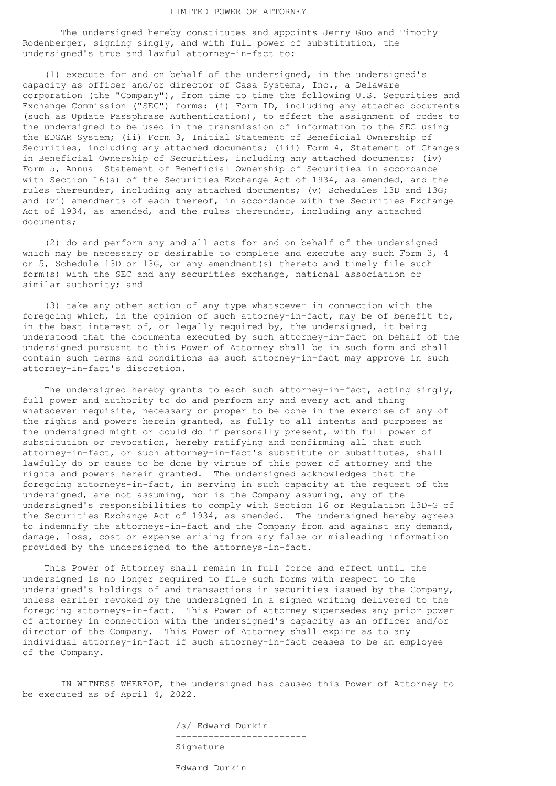## LIMITED POWER OF ATTORNEY

 The undersigned hereby constitutes and appoints Jerry Guo and Timothy Rodenberger, signing singly, and with full power of substitution, the undersigned's true and lawful attorney-in-fact to:

 (1) execute for and on behalf of the undersigned, in the undersigned's capacity as officer and/or director of Casa Systems, Inc., a Delaware corporation (the "Company"), from time to time the following U.S. Securities and Exchange Commission ("SEC") forms: (i) Form ID, including any attached documents (such as Update Passphrase Authentication), to effect the assignment of codes to the undersigned to be used in the transmission of information to the SEC using the EDGAR System; (ii) Form 3, Initial Statement of Beneficial Ownership of Securities, including any attached documents; (iii) Form 4, Statement of Changes in Beneficial Ownership of Securities, including any attached documents; (iv) Form 5, Annual Statement of Beneficial Ownership of Securities in accordance with Section 16(a) of the Securities Exchange Act of 1934, as amended, and the rules thereunder, including any attached documents; (v) Schedules 13D and 13G; and (vi) amendments of each thereof, in accordance with the Securities Exchange Act of 1934, as amended, and the rules thereunder, including any attached documents;

 (2) do and perform any and all acts for and on behalf of the undersigned which may be necessary or desirable to complete and execute any such Form 3, 4 or 5, Schedule 13D or 13G, or any amendment(s) thereto and timely file such form(s) with the SEC and any securities exchange, national association or similar authority; and

 (3) take any other action of any type whatsoever in connection with the foregoing which, in the opinion of such attorney-in-fact, may be of benefit to, in the best interest of, or legally required by, the undersigned, it being understood that the documents executed by such attorney-in-fact on behalf of the undersigned pursuant to this Power of Attorney shall be in such form and shall contain such terms and conditions as such attorney-in-fact may approve in such attorney-in-fact's discretion.

The undersigned hereby grants to each such attorney-in-fact, acting singly, full power and authority to do and perform any and every act and thing whatsoever requisite, necessary or proper to be done in the exercise of any of the rights and powers herein granted, as fully to all intents and purposes as the undersigned might or could do if personally present, with full power of substitution or revocation, hereby ratifying and confirming all that such attorney-in-fact, or such attorney-in-fact's substitute or substitutes, shall lawfully do or cause to be done by virtue of this power of attorney and the rights and powers herein granted. The undersigned acknowledges that the foregoing attorneys-in-fact, in serving in such capacity at the request of the undersigned, are not assuming, nor is the Company assuming, any of the undersigned's responsibilities to comply with Section 16 or Regulation 13D-G of the Securities Exchange Act of 1934, as amended. The undersigned hereby agrees to indemnify the attorneys-in-fact and the Company from and against any demand, damage, loss, cost or expense arising from any false or misleading information provided by the undersigned to the attorneys-in-fact.

 This Power of Attorney shall remain in full force and effect until the undersigned is no longer required to file such forms with respect to the undersigned's holdings of and transactions in securities issued by the Company, unless earlier revoked by the undersigned in a signed writing delivered to the foregoing attorneys-in-fact. This Power of Attorney supersedes any prior power of attorney in connection with the undersigned's capacity as an officer and/or director of the Company. This Power of Attorney shall expire as to any individual attorney-in-fact if such attorney-in-fact ceases to be an employee of the Company.

 IN WITNESS WHEREOF, the undersigned has caused this Power of Attorney to be executed as of April 4, 2022.

> /s/ Edward Durkin ------------------------ Signature Edward Durkin